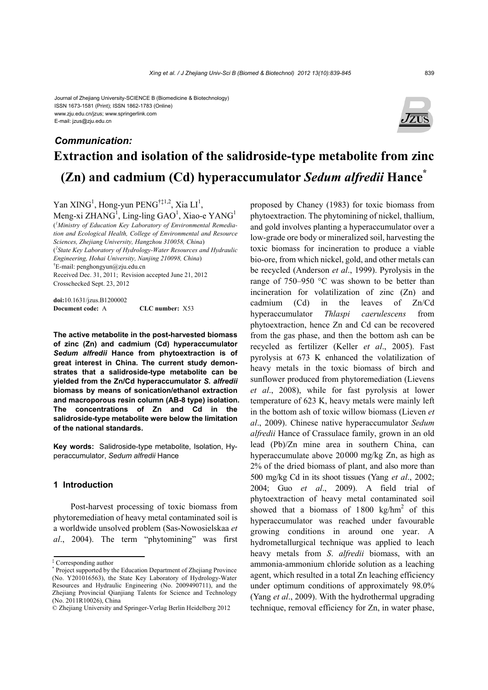#### Journal of Zhejiang University-SCIENCE B (Biomedicine & Biotechnology) ISSN 1673-1581 (Print); ISSN 1862-1783 (Online) www.zju.edu.cn/jzus; www.springerlink.com E-mail: jzus@zju.edu.cn



# **Extraction and isolation of the salidroside-type metabolite from zinc (Zn) and cadmium (Cd) hyperaccumulator** *Sedum alfredii* **Hance\*** *Communication:*

Yan XING<sup>1</sup>, Hong-yun PENG<sup>†‡1,2</sup>, Xia LI<sup>1</sup>,

Meng-xi ZHANG<sup>1</sup>, Ling-ling GAO<sup>1</sup>, Xiao-e YANG<sup>1</sup> ( *1 Ministry of Education Key Laboratory of Environmental Remediation and Ecological Health, College of Environmental and Resource Sciences, Zhejiang University, Hangzhou 310058, China*) ( *2 State Key Laboratory of Hydrology-Water Resources and Hydraulic Engineering, Hohai University, Nanjing 210098, China*)  $E$ -mail: penghongyun@zju.edu.cn Received Dec. 31, 2011; Revision accepted June 21, 2012 Crosschecked Sept. 23, 2012

**doi:**10.1631/jzus.B1200002 **Document code:** A **CLC number:** X53

**The active metabolite in the post-harvested biomass of zinc (Zn) and cadmium (Cd) hyperaccumulator**  *Sedum alfredii* **Hance from phytoextraction is of great interest in China. The current study demonstrates that a salidroside-type metabolite can be yielded from the Zn/Cd hyperaccumulator** *S. alfredii* **biomass by means of sonication/ethanol extraction and macroporous resin column (AB-8 type) isolation. The concentrations of Zn and Cd in the salidroside-type metabolite were below the limitation of the national standards.** 

**Key words:** Salidroside-type metabolite, Isolation, Hyperaccumulator, *Sedum alfredii* Hance

#### **1 Introduction**

Post-harvest processing of toxic biomass from phytoremediation of heavy metal contaminated soil is a worldwide unsolved problem (Sas-Nowosielskaa *et al*., 2004). The term "phytomining" was first proposed by Chaney (1983) for toxic biomass from phytoextraction. The phytomining of nickel, thallium, and gold involves planting a hyperaccumulator over a low-grade ore body or mineralized soil, harvesting the toxic biomass for incineration to produce a viable bio-ore, from which nickel, gold, and other metals can be recycled (Anderson *et al*., 1999). Pyrolysis in the range of 750–950 °C was shown to be better than incineration for volatilization of zinc (Zn) and cadmium (Cd) in the leaves of Zn/Cd hyperaccumulator *Thlaspi caerulescens* from phytoextraction, hence Zn and Cd can be recovered from the gas phase, and then the bottom ash can be recycled as fertilizer (Keller *et al*., 2005). Fast pyrolysis at 673 K enhanced the volatilization of heavy metals in the toxic biomass of birch and sunflower produced from phytoremediation (Lievens *et al*., 2008), while for fast pyrolysis at lower temperature of 623 K, heavy metals were mainly left in the bottom ash of toxic willow biomass (Lieven *et al*., 2009). Chinese native hyperaccumulator *Sedum alfredii* Hance of Crassulace family, grown in an old lead (Pb)/Zn mine area in southern China, can hyperaccumulate above 20000 mg/kg Zn, as high as 2% of the dried biomass of plant, and also more than 500 mg/kg Cd in its shoot tissues (Yang *et al*., 2002; 2004; Guo *et al*., 2009). A field trial of phytoextraction of heavy metal contaminated soil showed that a biomass of  $1800 \text{ kg/hm}^2$  of this hyperaccumulator was reached under favourable growing conditions in around one year. A hydrometallurgical technique was applied to leach heavy metals from *S*. *alfredii* biomass, with an ammonia-ammonium chloride solution as a leaching agent, which resulted in a total Zn leaching efficiency under optimum conditions of approximately 98.0% (Yang *et al*., 2009). With the hydrothermal upgrading technique, removal efficiency for Zn, in water phase,

<sup>&</sup>lt;sup>‡</sup> Corresponding author<br><sup>\*</sup> Project supported by the

Project supported by the Education Department of Zhejiang Province (No. Y201016563), the State Key Laboratory of Hydrology-Water Resources and Hydraulic Engineering (No. 2009490711), and the Zhejiang Provincial Qianjiang Talents for Science and Technology (No. 2011R10026), China

<sup>©</sup> Zhejiang University and Springer-Verlag Berlin Heidelberg 2012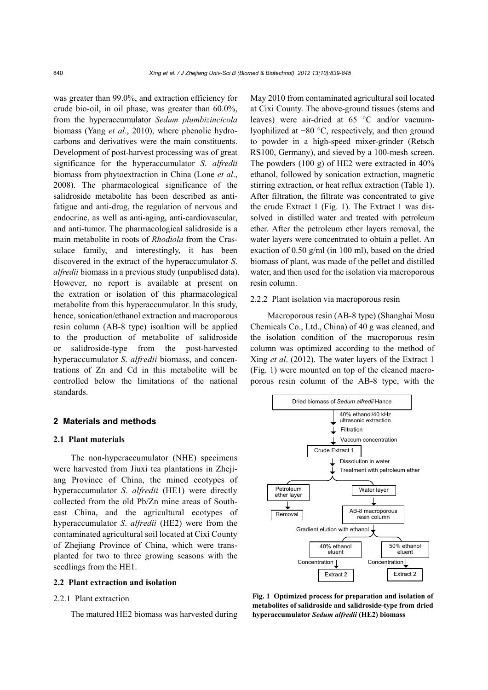was greater than 99.0%, and extraction efficiency for crude bio-oil, in oil phase, was greater than 60.0%, from the hyperaccumulator *Sedum plumbizincicola* biomass (Yang *et al*., 2010), where phenolic hydrocarbons and derivatives were the main constituents. Development of post-harvest processing was of great significance for the hyperaccumulator *S*. *alfredii*  biomass from phytoextraction in China (Lone *et al*., 2008). The pharmacological significance of the salidroside metabolite has been described as antifatigue and anti-drug, the regulation of nervous and endocrine, as well as anti-aging, anti-cardiovascular, and anti-tumor. The pharmacological salidroside is a main metabolite in roots of *Rhodiola* from the Crassulace family, and interestingly, it has been discovered in the extract of the hyperaccumulator *S*. *alfredii* biomass in a previous study (unpublised data). However, no report is available at present on the extration or isolation of this pharmacological metabolite from this hyperaccumulator. In this study, hence, sonication/ethanol extraction and macroporous resin column (AB-8 type) isoaltion will be applied to the production of metabolite of salidroside or salidroside-type from the post-harvested hyperaccumulator *S*. *alfredii* biomass, and concentrations of Zn and Cd in this metabolite will be controlled below the limitations of the national standards.

#### **2 Materials and methods**

#### **2.1 Plant materials**

The non-hyperaccumulator (NHE) specimens were harvested from Jiuxi tea plantations in Zhejiang Province of China, the mined ecotypes of hyperaccumulator *S*. *alfredii* (HE1) were directly collected from the old Pb/Zn mine areas of Southeast China, and the agricultural ecotypes of hyperaccumulator *S*. *alfredii* (HE2) were from the contaminated agricultural soil located at Cixi County of Zhejiang Province of China, which were transplanted for two to three growing seasons with the seedlings from the HE1.

#### **2.2 Plant extraction and isolation**

#### 2.2.1 Plant extraction

The matured HE2 biomass was harvested during

May 2010 from contaminated agricultural soil located at Cixi County. The above-ground tissues (stems and leaves) were air-dried at 65 °C and/or vacuumlyophilized at −80 °C, respectively, and then ground to powder in a high-speed mixer-grinder (Retsch RS100, Germany), and sieved by a 100-mesh screen. The powders (100 g) of HE2 were extracted in 40% ethanol, followed by sonication extraction, magnetic stirring extraction, or heat reflux extraction (Table 1). After filtration, the filtrate was concentrated to give the crude Extract 1 (Fig. 1). The Extract 1 was dissolved in distilled water and treated with petroleum ether. After the petroleum ether layers removal, the water layers were concentrated to obtain a pellet. An exaction of 0.50 g/ml (in 100 ml), based on the dried biomass of plant, was made of the pellet and distilled water, and then used for the isolation via macroporous resin column.

#### 2.2.2 Plant isolation via macroporous resin

Macroporous resin (AB-8 type) (Shanghai Mosu Chemicals Co., Ltd., China) of 40 g was cleaned, and the isolation condition of the macroporous resin column was optimized according to the method of Xing *et al*. (2012). The water layers of the Extract 1 (Fig. 1) were mounted on top of the cleaned macroporous resin column of the AB-8 type, with the



**Fig. 1 Optimized process for preparation and isolation of metabolites of salidroside and salidroside-type from dried hyperaccumulator** *Sedum alfredii* **(HE2) biomass**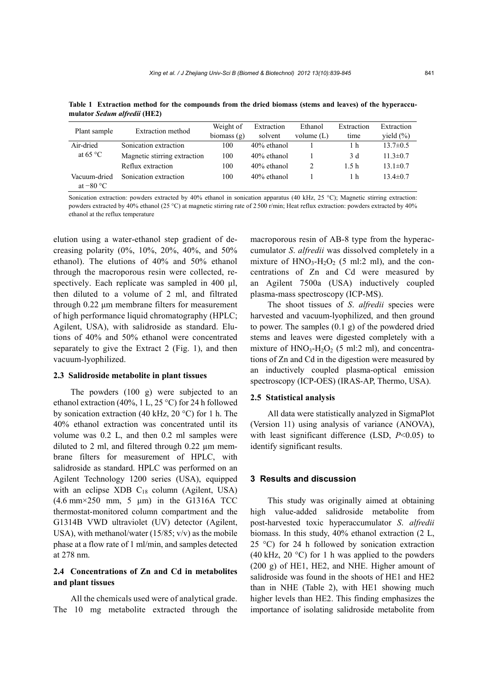| Plant sample       | Extraction method            | Weight of     | Extraction     | Ethanol      | Extraction | Extraction     |
|--------------------|------------------------------|---------------|----------------|--------------|------------|----------------|
|                    |                              | biomass $(g)$ | solvent        | volume $(L)$ | time       | yield $(\% )$  |
| Air-dried          | Sonication extraction        | 100           | $40\%$ ethanol |              | 1 h        | $13.7 \pm 0.5$ |
| at 65 $^{\circ}$ C | Magnetic stirring extraction | 100           | $40\%$ ethanol |              | 3 d        | $11.3 \pm 0.7$ |
|                    | Reflux extraction            | 100           | $40\%$ ethanol |              | 1.5h       | $13.1 \pm 0.7$ |
| Vacuum-dried       | Sonication extraction        | 100           | 40% ethanol    |              | 1 h        | $13.4 \pm 0.7$ |
| at $-80 °C$        |                              |               |                |              |            |                |

**Table 1 Extraction method for the compounds from the dried biomass (stems and leaves) of the hyperaccumulator** *Sedum alfredii* **(HE2)** 

Sonication extraction: powders extracted by 40% ethanol in sonication apparatus (40 kHz, 25 °C); Magnetic stirring extraction: powders extracted by 40% ethanol (25 °C) at magnetic stirring rate of 2 500 r/min; Heat reflux extraction: powders extracted by 40% ethanol at the reflux temperature

elution using a water-ethanol step gradient of decreasing polarity (0%, 10%, 20%, 40%, and 50% ethanol). The elutions of 40% and 50% ethanol through the macroporous resin were collected, respectively. Each replicate was sampled in 400 μl, then diluted to a volume of 2 ml, and filtrated through 0.22 μm membrane filters for measurement of high performance liquid chromatography (HPLC; Agilent, USA), with salidroside as standard. Elutions of 40% and 50% ethanol were concentrated separately to give the Extract 2 (Fig. 1), and then vacuum-lyophilized.

#### **2.3 Salidroside metabolite in plant tissues**

The powders (100 g) were subjected to an ethanol extraction (40%, 1 L, 25 °C) for 24 h followed by sonication extraction (40 kHz, 20 °C) for 1 h. The 40% ethanol extraction was concentrated until its volume was 0.2 L, and then 0.2 ml samples were diluted to 2 ml, and filtered through 0.22 µm membrane filters for measurement of HPLC, with salidroside as standard. HPLC was performed on an Agilent Technology 1200 series (USA), equipped with an eclipse XDB  $C_{18}$  column (Agilent, USA) (4.6 mm×250 mm, 5 μm) in the G1316A TCC thermostat-monitored column compartment and the G1314B VWD ultraviolet (UV) detector (Agilent, USA), with methanol/water  $(15/85; v/v)$  as the mobile phase at a flow rate of 1 ml/min, and samples detected at 278 nm.

#### **2.4 Concentrations of Zn and Cd in metabolites and plant tissues**

All the chemicals used were of analytical grade. The 10 mg metabolite extracted through the macroporous resin of AB-8 type from the hyperaccumulator *S*. *alfredii* was dissolved completely in a mixture of  $HNO<sub>3</sub>-H<sub>2</sub>O<sub>2</sub>$  (5 ml:2 ml), and the concentrations of Zn and Cd were measured by an Agilent 7500a (USA) inductively coupled plasma-mass spectroscopy (ICP-MS).

The shoot tissues of *S*. *alfredii* species were harvested and vacuum-lyophilized, and then ground to power. The samples (0.1 g) of the powdered dried stems and leaves were digested completely with a mixture of  $HNO_3-H_2O_2$  (5 ml:2 ml), and concentrations of Zn and Cd in the digestion were measured by an inductively coupled plasma-optical emission spectroscopy (ICP-OES) (IRAS-AP, Thermo, USA).

#### **2.5 Statistical analysis**

All data were statistically analyzed in SigmaPlot (Version 11) using analysis of variance (ANOVA), with least significant difference (LSD,  $P<0.05$ ) to identify significant results.

#### **3 Results and discussion**

This study was originally aimed at obtaining high value-added salidroside metabolite from post-harvested toxic hyperaccumulator *S*. *alfredii* biomass. In this study, 40% ethanol extraction (2 L, 25 °C) for 24 h followed by sonication extraction (40 kHz, 20  $^{\circ}$ C) for 1 h was applied to the powders (200 g) of HE1, HE2, and NHE. Higher amount of salidroside was found in the shoots of HE1 and HE2 than in NHE (Table 2), with HE1 showing much higher levels than HE2. This finding emphasizes the importance of isolating salidroside metabolite from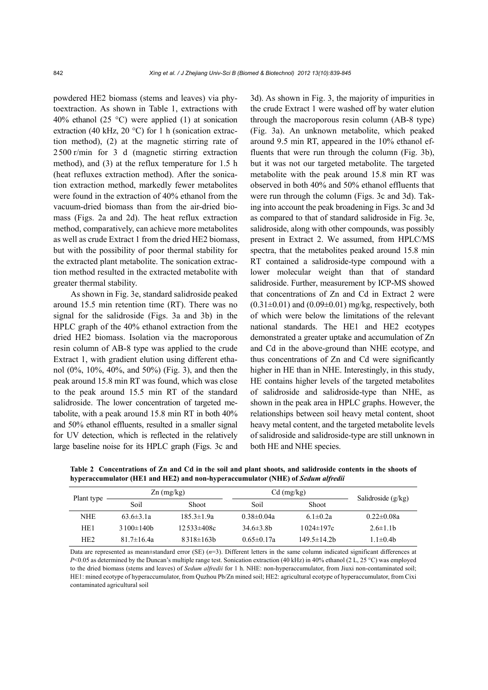powdered HE2 biomass (stems and leaves) via phytoextraction. As shown in Table 1, extractions with 40% ethanol (25  $^{\circ}$ C) were applied (1) at sonication extraction (40 kHz, 20  $^{\circ}$ C) for 1 h (sonication extraction method), (2) at the magnetic stirring rate of 2500 r/min for 3 d (magnetic stirring extraction method), and (3) at the reflux temperature for 1.5 h (heat refluxes extraction method). After the sonication extraction method, markedly fewer metabolites were found in the extraction of 40% ethanol from the vacuum-dried biomass than from the air-dried biomass (Figs. 2a and 2d). The heat reflux extraction method, comparatively, can achieve more metabolites as well as crude Extract 1 from the dried HE2 biomass, but with the possibility of poor thermal stability for the extracted plant metabolite. The sonication extraction method resulted in the extracted metabolite with greater thermal stability.

As shown in Fig. 3e, standard salidroside peaked around 15.5 min retention time (RT). There was no signal for the salidroside (Figs. 3a and 3b) in the HPLC graph of the 40% ethanol extraction from the dried HE2 biomass. Isolation via the macroporous resin column of AB-8 type was applied to the crude Extract 1, with gradient elution using different ethanol (0%, 10%, 40%, and 50%) (Fig. 3), and then the peak around 15.8 min RT was found, which was close to the peak around 15.5 min RT of the standard salidroside. The lower concentration of targeted metabolite, with a peak around 15.8 min RT in both 40% and 50% ethanol effluents, resulted in a smaller signal for UV detection, which is reflected in the relatively large baseline noise for its HPLC graph (Figs. 3c and 3d). As shown in Fig. 3, the majority of impurities in the crude Extract 1 were washed off by water elution through the macroporous resin column (AB-8 type) (Fig. 3a). An unknown metabolite, which peaked around 9.5 min RT, appeared in the 10% ethanol effluents that were run through the column (Fig. 3b), but it was not our targeted metabolite. The targeted metabolite with the peak around 15.8 min RT was observed in both 40% and 50% ethanol effluents that were run through the column (Figs. 3c and 3d). Taking into account the peak broadening in Figs. 3c and 3d as compared to that of standard salidroside in Fig. 3e, salidroside, along with other compounds, was possibly present in Extract 2. We assumed, from HPLC/MS spectra, that the metabolites peaked around 15.8 min RT contained a salidroside-type compound with a lower molecular weight than that of standard salidroside. Further, measurement by ICP-MS showed that concentrations of Zn and Cd in Extract 2 were  $(0.31 \pm 0.01)$  and  $(0.09 \pm 0.01)$  mg/kg, respectively, both of which were below the limitations of the relevant national standards. The HE1 and HE2 ecotypes demonstrated a greater uptake and accumulation of Zn and Cd in the above-ground than NHE ecotype, and thus concentrations of Zn and Cd were significantly higher in HE than in NHE. Interestingly, in this study, HE contains higher levels of the targeted metabolites of salidroside and salidroside-type than NHE, as shown in the peak area in HPLC graphs. However, the relationships between soil heavy metal content, shoot heavy metal content, and the targeted metabolite levels of salidroside and salidroside-type are still unknown in both HE and NHE species.

| Plant type      | $\text{Zn (mg/kg)}$ |                  | $Cd$ (mg/kg)     | Salidroside $(g/kg)$ |                  |
|-----------------|---------------------|------------------|------------------|----------------------|------------------|
|                 | Soil                | <b>Shoot</b>     | Soil             | <b>Shoot</b>         |                  |
| <b>NHE</b>      | $63.6 \pm 3.1a$     | $185.3 \pm 1.9a$ | $0.38 \pm 0.04a$ | $6.1 \pm 0.2a$       | $0.22 \pm 0.08a$ |
| HE <sub>1</sub> | $3100\pm140h$       | $12.533\pm408c$  | 34.6 $\pm$ 3.8b  | 1024±197c            | $2.6 \pm 1.1$ h  |
| HE <sub>2</sub> | $81.7 \pm 16.4a$    | $8318\pm 163b$   | $0.65 \pm 0.17a$ | $149.5 \pm 14.2$ b   | $1.1 \pm 0.4$    |

**Table 2 Concentrations of Zn and Cd in the soil and plant shoots, and salidroside contents in the shoots of hyperaccumulator (HE1 and HE2) and non-hyperaccumulator (NHE) of** *Sedum alfredii*

Data are represented as mean±standard error (SE) (*n*=3). Different letters in the same column indicated significant differences at *P*<0.05 as determined by the Duncan's multiple range test. Sonication extraction (40 kHz) in 40% ethanol (2 L, 25 °C) was employed to the dried biomass (stems and leaves) of *Sedum alfredii* for 1 h. NHE: non-hyperaccumulator, from Jiuxi non-contaminated soil; HE1: mined ecotype of hyperaccumulator, from Quzhou Pb/Zn mined soil; HE2: agricultural ecotype of hyperaccumulator, from Cixi contaminated agricultural soil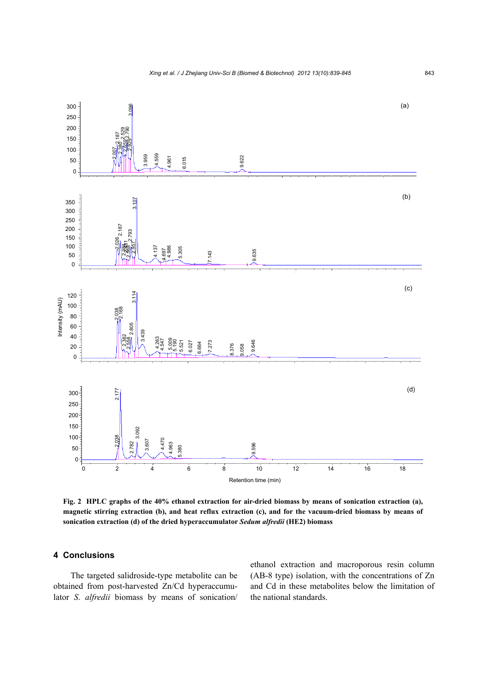

**Fig. 2 HPLC graphs of the 40% ethanol extraction for air-dried biomass by means of sonication extraction (a), magnetic stirring extraction (b), and heat reflux extraction (c), and for the vacuum-dried biomass by means of sonication extraction (d) of the dried hyperaccumulator** *Sedum alfredii* **(HE2) biomass** 

#### **4 Conclusions**

The targeted salidroside-type metabolite can be obtained from post-harvested Zn/Cd hyperaccumulator *S*. *alfredii* biomass by means of sonication/

ethanol extraction and macroporous resin column (AB-8 type) isolation, with the concentrations of Zn and Cd in these metabolites below the limitation of the national standards.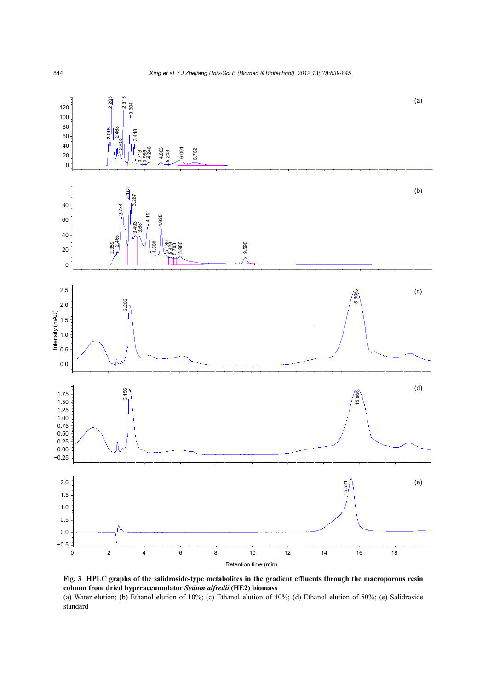



(a) Water elution; (b) Ethanol elution of 10%; (c) Ethanol elution of 40%; (d) Ethanol elution of 50%; (e) Salidroside standard